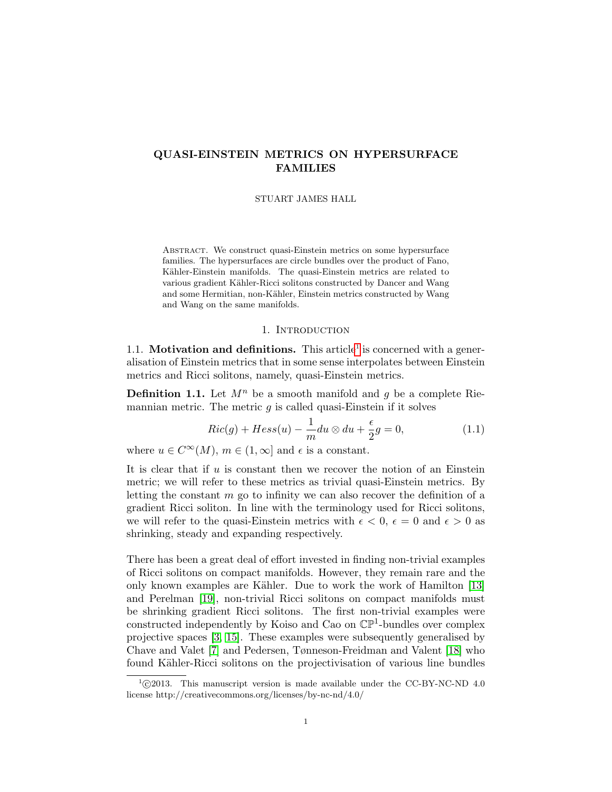# QUASI-EINSTEIN METRICS ON HYPERSURFACE FAMILIES

#### STUART JAMES HALL

ABSTRACT. We construct quasi-Einstein metrics on some hypersurface families. The hypersurfaces are circle bundles over the product of Fano, Kähler-Einstein manifolds. The quasi-Einstein metrics are related to various gradient Kähler-Ricci solitons constructed by Dancer and Wang and some Hermitian, non-Kähler, Einstein metrics constructed by Wang and Wang on the same manifolds.

## 1. INTRODUCTION

[1](#page-0-0).1. **Motivation and definitions.** This article<sup>1</sup> is concerned with a generalisation of Einstein metrics that in some sense interpolates between Einstein metrics and Ricci solitons, namely, quasi-Einstein metrics.

**Definition 1.1.** Let  $M^n$  be a smooth manifold and q be a complete Riemannian metric. The metric  $q$  is called quasi-Einstein if it solves

<span id="page-0-1"></span>
$$
Ric(g) + Hess(u) - \frac{1}{m}du \otimes du + \frac{\epsilon}{2}g = 0,
$$
\n(1.1)

where  $u \in C^{\infty}(M)$ ,  $m \in (1, \infty]$  and  $\epsilon$  is a constant.

It is clear that if  $u$  is constant then we recover the notion of an Einstein metric; we will refer to these metrics as trivial quasi-Einstein metrics. By letting the constant  $m$  go to infinity we can also recover the definition of a gradient Ricci soliton. In line with the terminology used for Ricci solitons, we will refer to the quasi-Einstein metrics with  $\epsilon < 0$ ,  $\epsilon = 0$  and  $\epsilon > 0$  as shrinking, steady and expanding respectively.

There has been a great deal of effort invested in finding non-trivial examples of Ricci solitons on compact manifolds. However, they remain rare and the only known examples are Kähler. Due to work the work of Hamilton  $[13]$ and Perelman [\[19\]](#page-10-1), non-trivial Ricci solitons on compact manifolds must be shrinking gradient Ricci solitons. The first non-trivial examples were constructed independently by Koiso and Cao on  $\mathbb{CP}^1$ -bundles over complex projective spaces [\[3,](#page-10-2) [15\]](#page-10-3). These examples were subsequently generalised by Chave and Valet [\[7\]](#page-10-4) and Pedersen, Tønneson-Freidman and Valent [\[18\]](#page-10-5) who found Kähler-Ricci solitons on the projectivisation of various line bundles

<span id="page-0-0"></span> $^{1}$  $\odot$ 2013. This manuscript version is made available under the CC-BY-NC-ND 4.0 license http://creativecommons.org/licenses/by-nc-nd/4.0/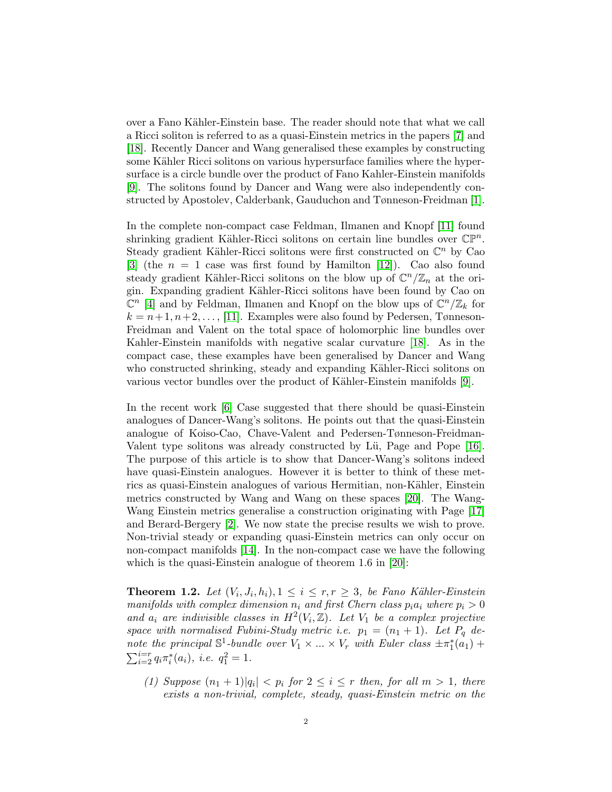over a Fano Kähler-Einstein base. The reader should note that what we call a Ricci soliton is referred to as a quasi-Einstein metrics in the papers [\[7\]](#page-10-4) and [\[18\]](#page-10-5). Recently Dancer and Wang generalised these examples by constructing some Kähler Ricci solitons on various hypersurface families where the hypersurface is a circle bundle over the product of Fano Kahler-Einstein manifolds [\[9\]](#page-10-6). The solitons found by Dancer and Wang were also independently constructed by Apostolev, Calderbank, Gauduchon and Tønneson-Freidman [\[1\]](#page-9-0).

In the complete non-compact case Feldman, Ilmanen and Knopf [\[11\]](#page-10-7) found shrinking gradient Kähler-Ricci solitons on certain line bundles over  $\mathbb{CP}^n$ . Steady gradient Kähler-Ricci solitons were first constructed on  $\mathbb{C}^n$  by Cao [\[3\]](#page-10-2) (the  $n = 1$  case was first found by Hamilton [\[12\]](#page-10-8)). Cao also found steady gradient Kähler-Ricci solitons on the blow up of  $\mathbb{C}^n/\mathbb{Z}_n$  at the origin. Expanding gradient Kähler-Ricci solitons have been found by Cao on  $\mathbb{C}^n$  [\[4\]](#page-10-9) and by Feldman, Ilmanen and Knopf on the blow ups of  $\mathbb{C}^n/\mathbb{Z}_k$  for  $k = n+1, n+2, \ldots, [11]$  $k = n+1, n+2, \ldots, [11]$ . Examples were also found by Pedersen, Tønneson-Freidman and Valent on the total space of holomorphic line bundles over Kahler-Einstein manifolds with negative scalar curvature [\[18\]](#page-10-5). As in the compact case, these examples have been generalised by Dancer and Wang who constructed shrinking, steady and expanding Kähler-Ricci solitons on various vector bundles over the product of Kähler-Einstein manifolds [\[9\]](#page-10-6).

In the recent work [\[6\]](#page-10-10) Case suggested that there should be quasi-Einstein analogues of Dancer-Wang's solitons. He points out that the quasi-Einstein analogue of Koiso-Cao, Chave-Valent and Pedersen-Tønneson-Freidman-Valent type solitons was already constructed by Lü, Page and Pope [\[16\]](#page-10-11). The purpose of this article is to show that Dancer-Wang's solitons indeed have quasi-Einstein analogues. However it is better to think of these metrics as quasi-Einstein analogues of various Hermitian, non-Kähler, Einstein metrics constructed by Wang and Wang on these spaces [\[20\]](#page-10-12). The Wang-Wang Einstein metrics generalise a construction originating with Page [\[17\]](#page-10-13) and Berard-Bergery [\[2\]](#page-9-1). We now state the precise results we wish to prove. Non-trivial steady or expanding quasi-Einstein metrics can only occur on non-compact manifolds [\[14\]](#page-10-14). In the non-compact case we have the following which is the quasi-Einstein analogue of theorem 1.6 in [\[20\]](#page-10-12):

<span id="page-1-0"></span>**Theorem 1.2.** Let  $(V_i, J_i, h_i), 1 \leq i \leq r, r \geq 3$ , be Fano Kähler-Einstein manifolds with complex dimension  $n_i$  and first Chern class  $p_i a_i$  where  $p_i > 0$ and  $a_i$  are indivisible classes in  $H^2(V_i, \mathbb{Z})$ . Let  $V_1$  be a complex projective space with normalised Fubini-Study metric i.e.  $p_1 = (n_1 + 1)$ . Let  $P_q$  denote the principal  $\mathbb{S}^1$ -bundle over  $V_1 \times ... \times V_r$  with Euler class  $\pm \pi_1^*(a_1)$  +  $\sum_{i=2}^{i=r} q_i \pi_i^*(a_i)$ , *i.e.*  $q_1^2 = 1$ .

(1) Suppose  $(n_1 + 1)|q_i| < p_i$  for  $2 \le i \le r$  then, for all  $m > 1$ , there exists a non-trivial, complete, steady, quasi-Einstein metric on the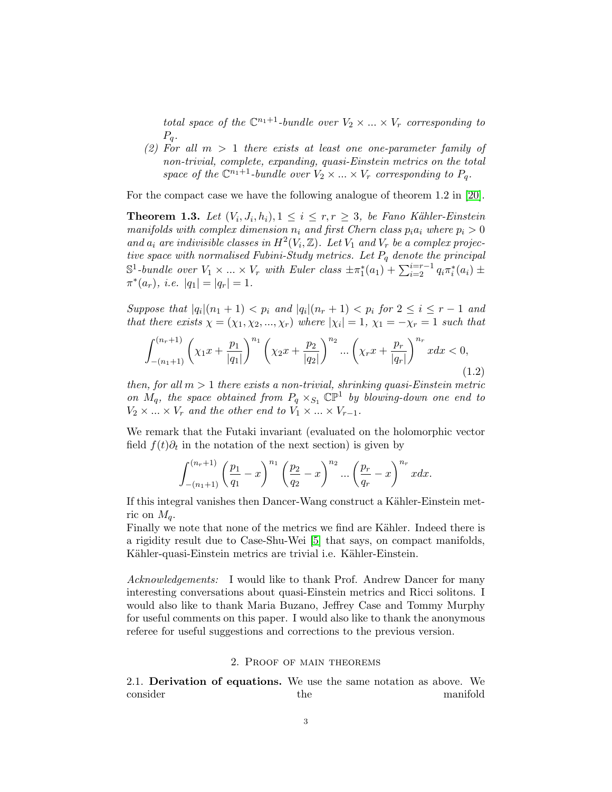total space of the  $\mathbb{C}^{n_1+1}$ -bundle over  $V_2 \times ... \times V_r$  corresponding to  $P_q$ .

(2) For all  $m > 1$  there exists at least one one-parameter family of non-trivial, complete, expanding, quasi-Einstein metrics on the total space of the  $\mathbb{C}^{n_1+1}$ -bundle over  $V_2 \times ... \times V_r$  corresponding to  $P_q$ .

For the compact case we have the following analogue of theorem 1.2 in [\[20\]](#page-10-12).

<span id="page-2-0"></span>**Theorem 1.3.** Let  $(V_i, J_i, h_i), 1 \leq i \leq r, r \geq 3$ , be Fano Kähler-Einstein manifolds with complex dimension  $n_i$  and first Chern class  $p_i a_i$  where  $p_i > 0$ and  $a_i$  are indivisible classes in  $H^2(V_i, \mathbb{Z})$ . Let  $V_1$  and  $V_r$  be a complex projective space with normalised Fubini-Study metrics. Let  $P_q$  denote the principal  $\mathbb{S}^1$ -bundle over  $V_1 \times ... \times V_r$  with Euler class  $\pm \pi_1^*(a_1) + \sum_{i=2}^{i=r-1} q_i \pi_i^*(a_i) \pm$  $\pi^*(a_r)$ , *i.e.*  $|q_1| = |q_r| = 1$ .

Suppose that  $|q_i|(n_1+1) < p_i$  and  $|q_i|(n_r+1) < p_i$  for  $2 \leq i \leq r-1$  and that there exists  $\chi = (\chi_1, \chi_2, ..., \chi_r)$  where  $|\chi_i| = 1$ ,  $\chi_1 = -\chi_r = 1$  such that

$$
\int_{-(n_1+1)}^{(n_r+1)} \left( \chi_1 x + \frac{p_1}{|q_1|} \right)^{n_1} \left( \chi_2 x + \frac{p_2}{|q_2|} \right)^{n_2} \dots \left( \chi_r x + \frac{p_r}{|q_r|} \right)^{n_r} x dx < 0,\tag{1.2}
$$

then, for all  $m > 1$  there exists a non-trivial, shrinking quasi-Einstein metric on  $M_q$ , the space obtained from  $P_q \times_{S_1} \mathbb{CP}^1$  by blowing-down one end to  $V_2 \times ... \times V_r$  and the other end to  $V_1 \times ... \times V_{r-1}$ .

We remark that the Futaki invariant (evaluated on the holomorphic vector field  $f(t)\partial_t$  in the notation of the next section) is given by

$$
\int_{-(n_1+1)}^{(n_r+1)} \left(\frac{p_1}{q_1} - x\right)^{n_1} \left(\frac{p_2}{q_2} - x\right)^{n_2} \dots \left(\frac{p_r}{q_r} - x\right)^{n_r} x dx.
$$

If this integral vanishes then Dancer-Wang construct a Kähler-Einstein metric on  $M_q$ .

Finally we note that none of the metrics we find are Kähler. Indeed there is a rigidity result due to Case-Shu-Wei [\[5\]](#page-10-15) that says, on compact manifolds, Kähler-quasi-Einstein metrics are trivial i.e. Kähler-Einstein.

Acknowledgements: I would like to thank Prof. Andrew Dancer for many interesting conversations about quasi-Einstein metrics and Ricci solitons. I would also like to thank Maria Buzano, Jeffrey Case and Tommy Murphy for useful comments on this paper. I would also like to thank the anonymous referee for useful suggestions and corrections to the previous version.

## 2. Proof of main theorems

2.1. Derivation of equations. We use the same notation as above. We consider the manifold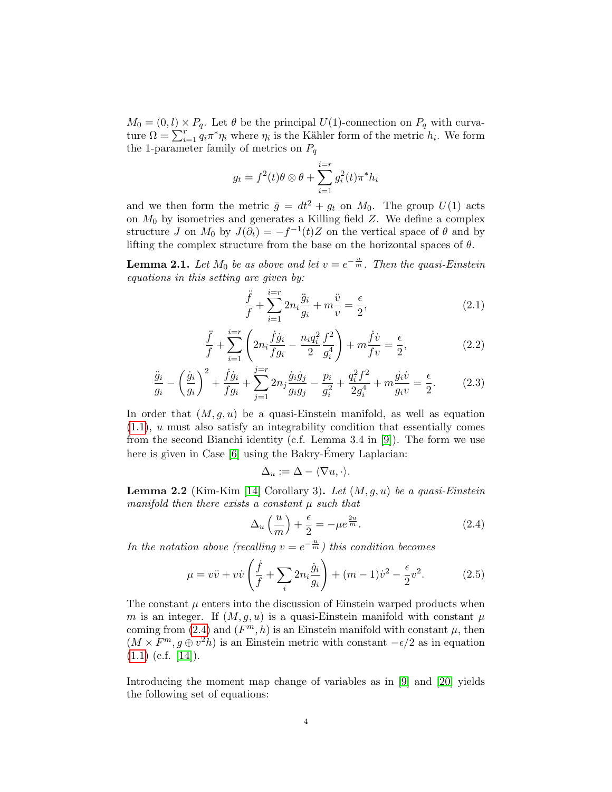$M_0 = (0, l) \times P_q$ . Let  $\theta$  be the principal  $U(1)$ -connection on  $P_q$  with curvature  $\Omega = \sum_{i=1}^{r} q_i \pi^* \eta_i$  where  $\eta_i$  is the Kähler form of the metric  $h_i$ . We form the 1-parameter family of metrics on  $P_q$ 

$$
g_t = f^2(t)\theta \otimes \theta + \sum_{i=1}^{i=r} g_i^2(t)\pi^* h_i
$$

and we then form the metric  $\bar{g} = dt^2 + g_t$  on  $M_0$ . The group  $U(1)$  acts on  $M_0$  by isometries and generates a Killing field  $Z$ . We define a complex structure J on  $M_0$  by  $J(\partial_t) = -f^{-1}(t)Z$  on the vertical space of  $\theta$  and by lifting the complex structure from the base on the horizontal spaces of  $\theta$ .

**Lemma 2.1.** Let  $M_0$  be as above and let  $v = e^{-\frac{u}{m}}$ . Then the quasi-Einstein equations in this setting are given by:

<span id="page-3-1"></span>
$$
\frac{\ddot{f}}{f} + \sum_{i=1}^{i=r} 2n_i \frac{\ddot{g}_i}{g_i} + m \frac{\ddot{v}}{v} = \frac{\epsilon}{2},
$$
\n(2.1)

<span id="page-3-2"></span>
$$
\frac{\ddot{f}}{f} + \sum_{i=1}^{i=r} \left( 2n_i \frac{\dot{f} \dot{g}_i}{f g_i} - \frac{n_i q_i^2}{2} \frac{f^2}{g_i^4} \right) + m \frac{\dot{f} \dot{v}}{f v} = \frac{\epsilon}{2},\tag{2.2}
$$

<span id="page-3-3"></span>
$$
\frac{\ddot{g}_i}{g_i} - \left(\frac{\dot{g}_i}{g_i}\right)^2 + \frac{\dot{f}\dot{g}_i}{f g_i} + \sum_{j=1}^{j=r} 2n_j \frac{\dot{g}_i \dot{g}_j}{g_i g_j} - \frac{p_i}{g_i^2} + \frac{q_i^2 f^2}{2g_i^4} + m \frac{\dot{g}_i \dot{v}}{g_i v} = \frac{\epsilon}{2}.
$$
 (2.3)

In order that  $(M, g, u)$  be a quasi-Einstein manifold, as well as equation [\(1.1\)](#page-0-1), u must also satisfy an integrability condition that essentially comes from the second Bianchi identity (c.f. Lemma 3.4 in [\[9\]](#page-10-6)). The form we use here is given in Case  $[6]$  using the Bakry-Émery Laplacian:

$$
\Delta_u := \Delta - \langle \nabla u, \cdot \rangle.
$$

**Lemma 2.2** (Kim-Kim [\[14\]](#page-10-14) Corollary 3). Let  $(M, g, u)$  be a quasi-Einstein manifold then there exists a constant  $\mu$  such that

<span id="page-3-0"></span>
$$
\Delta_u \left( \frac{u}{m} \right) + \frac{\epsilon}{2} = -\mu e^{\frac{2u}{m}}.
$$
\n(2.4)

In the notation above (recalling  $v = e^{-\frac{u}{m}}$ ) this condition becomes

<span id="page-3-4"></span>
$$
\mu = v\ddot{v} + v\dot{v}\left(\frac{\dot{f}}{f} + \sum_{i} 2n_i \frac{\dot{g}_i}{g_i}\right) + (m-1)\dot{v}^2 - \frac{\epsilon}{2}v^2.
$$
 (2.5)

The constant  $\mu$  enters into the discussion of Einstein warped products when m is an integer. If  $(M, q, u)$  is a quasi-Einstein manifold with constant  $\mu$ coming from [\(2.4\)](#page-3-0) and  $(F^m, h)$  is an Einstein manifold with constant  $\mu$ , then  $(M \times F^m, g \oplus v^2 h)$  is an Einstein metric with constant  $-\epsilon/2$  as in equation  $(1.1)$  (c.f. [\[14\]](#page-10-14)).

Introducing the moment map change of variables as in [\[9\]](#page-10-6) and [\[20\]](#page-10-12) yields the following set of equations: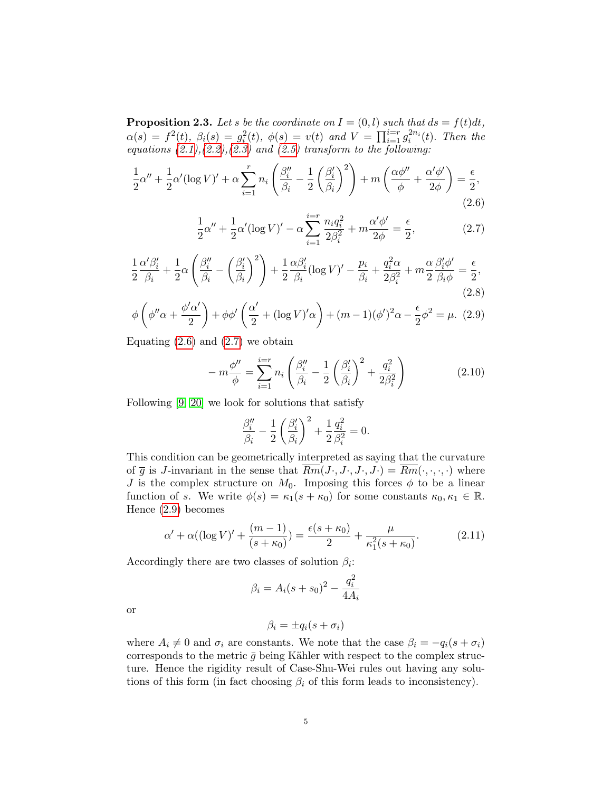**Proposition 2.3.** Let s be the coordinate on  $I = (0, l)$  such that  $ds = f(t)dt$ ,  $\alpha(s) = f^2(t), \ \beta_i(s) = g_i^2(t), \ \phi(s) = v(t) \ \text{and} \ V = \prod_{i=1}^{i=r} g_i^{2n_i}(t).$  Then the equations  $(2.1),(2.2),(2.3)$  $(2.1),(2.2),(2.3)$  $(2.1),(2.2),(2.3)$  $(2.1),(2.2),(2.3)$  $(2.1),(2.2),(2.3)$  and  $(2.5)$  transform to the following:

<span id="page-4-0"></span>
$$
\frac{1}{2}\alpha'' + \frac{1}{2}\alpha'(\log V)' + \alpha \sum_{i=1}^r n_i \left(\frac{\beta''_i}{\beta_i} - \frac{1}{2}\left(\frac{\beta'_i}{\beta_i}\right)^2\right) + m\left(\frac{\alpha\phi''}{\phi} + \frac{\alpha'\phi'}{2\phi}\right) = \frac{\epsilon}{2},\tag{2.6}
$$

<span id="page-4-1"></span>
$$
\frac{1}{2}\alpha'' + \frac{1}{2}\alpha'(\log V)' - \alpha \sum_{i=1}^{i=r} \frac{n_i q_i^2}{2\beta_i^2} + m \frac{\alpha'\phi'}{2\phi} = \frac{\epsilon}{2},\tag{2.7}
$$

<span id="page-4-3"></span>
$$
\frac{1}{2}\frac{\alpha'\beta_i'}{\beta_i} + \frac{1}{2}\alpha\left(\frac{\beta_i''}{\beta_i} - \left(\frac{\beta_i'}{\beta_i}\right)^2\right) + \frac{1}{2}\frac{\alpha\beta_i'}{\beta_i}(\log V)' - \frac{p_i}{\beta_i} + \frac{q_i^2\alpha}{2\beta_i^2} + m\frac{\alpha}{2}\frac{\beta_i'\phi'}{\beta_i\phi} = \frac{\epsilon}{2},\tag{2.8}
$$

<span id="page-4-2"></span>
$$
\phi\left(\phi''\alpha + \frac{\phi'\alpha'}{2}\right) + \phi\phi'\left(\frac{\alpha'}{2} + (\log V)'\alpha\right) + (m-1)(\phi')^2\alpha - \frac{\epsilon}{2}\phi^2 = \mu. \tag{2.9}
$$

Equating  $(2.6)$  and  $(2.7)$  we obtain

$$
-m\frac{\phi''}{\phi} = \sum_{i=1}^{i=r} n_i \left( \frac{\beta_i''}{\beta_i} - \frac{1}{2} \left( \frac{\beta_i'}{\beta_i} \right)^2 + \frac{q_i^2}{2\beta_i^2} \right)
$$
(2.10)

Following [\[9,](#page-10-6) [20\]](#page-10-12) we look for solutions that satisfy

$$
\frac{\beta_i''}{\beta_i} - \frac{1}{2} \left(\frac{\beta_i'}{\beta_i}\right)^2 + \frac{1}{2} \frac{q_i^2}{\beta_i^2} = 0.
$$

This condition can be geometrically interpreted as saying that the curvature of  $\overline{g}$  is J-invariant in the sense that  $\overline{Rm}(J\cdot, J\cdot, J\cdot, J\cdot) = \overline{Rm}(\cdot, \cdot, \cdot, \cdot)$  where J is the complex structure on  $M_0$ . Imposing this forces  $\phi$  to be a linear function of s. We write  $\phi(s) = \kappa_1(s + \kappa_0)$  for some constants  $\kappa_0, \kappa_1 \in \mathbb{R}$ . Hence [\(2.9\)](#page-4-2) becomes

<span id="page-4-4"></span>
$$
\alpha' + \alpha((\log V)' + \frac{(m-1)}{(s+\kappa_0)}) = \frac{\epsilon(s+\kappa_0)}{2} + \frac{\mu}{\kappa_1^2(s+\kappa_0)}.
$$
 (2.11)

Accordingly there are two classes of solution  $\beta_i$ :

$$
\beta_i = A_i(s + s_0)^2 - \frac{q_i^2}{4A_i}
$$

or

$$
\beta_i = \pm q_i(s + \sigma_i)
$$

where  $A_i \neq 0$  and  $\sigma_i$  are constants. We note that the case  $\beta_i = -q_i(s + \sigma_i)$ corresponds to the metric  $\bar{g}$  being Kähler with respect to the complex structure. Hence the rigidity result of Case-Shu-Wei rules out having any solutions of this form (in fact choosing  $\beta_i$  of this form leads to inconsistency).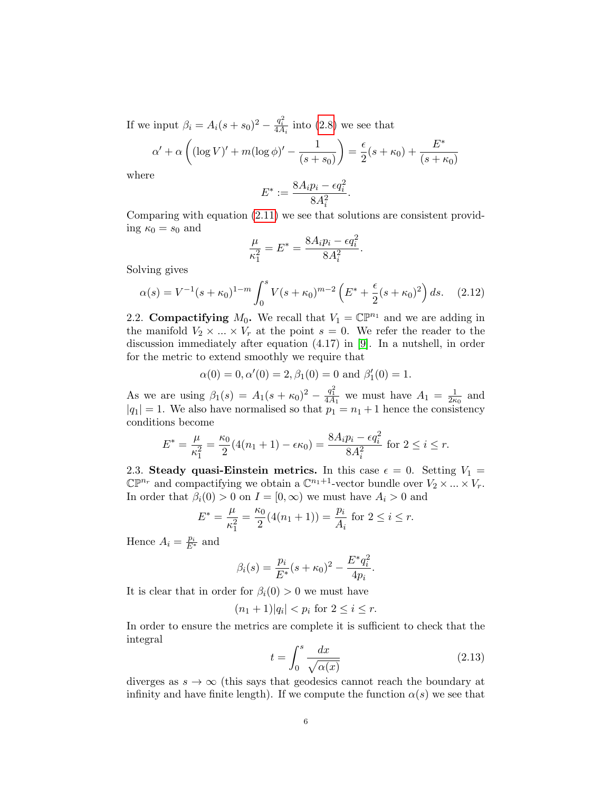If we input  $\beta_i = A_i(s + s_0)^2 - \frac{q_i^2}{4A_i}$  into [\(2.8\)](#page-4-3) we see that

$$
\alpha' + \alpha \left( (\log V)' + m(\log \phi)' - \frac{1}{(s + s_0)} \right) = \frac{\epsilon}{2} (s + \kappa_0) + \frac{E^*}{(s + \kappa_0)}
$$

where

$$
E^* := \frac{8A_i p_i - \epsilon q_i^2}{8A_i^2}.
$$

Comparing with equation [\(2.11\)](#page-4-4) we see that solutions are consistent providing  $\kappa_0 = s_0$  and

$$
\frac{\mu}{\kappa_1^2} = E^* = \frac{8A_i p_i - \epsilon q_i^2}{8A_i^2}.
$$

Solving gives

$$
\alpha(s) = V^{-1}(s + \kappa_0)^{1-m} \int_0^s V(s + \kappa_0)^{m-2} \left( E^* + \frac{\epsilon}{2} (s + \kappa_0)^2 \right) ds. \tag{2.12}
$$

2.2. Compactifying  $M_0$ . We recall that  $V_1 = \mathbb{C} \mathbb{P}^{n_1}$  and we are adding in the manifold  $V_2 \times ... \times V_r$  at the point  $s = 0$ . We refer the reader to the discussion immediately after equation (4.17) in [\[9\]](#page-10-6). In a nutshell, in order for the metric to extend smoothly we require that

$$
\alpha(0) = 0, \alpha'(0) = 2, \beta_1(0) = 0
$$
 and  $\beta'_1(0) = 1$ .

As we are using  $\beta_1(s) = A_1(s + \kappa_0)^2 - \frac{q_1^2}{4A_1}$  we must have  $A_1 = \frac{1}{2\kappa_0^2}$  $\frac{1}{2\kappa_0}$  and  $|q_1| = 1$ . We also have normalised so that  $p_1 = n_1 + 1$  hence the consistency conditions become

$$
E^* = \frac{\mu}{\kappa_1^2} = \frac{\kappa_0}{2} (4(n_1 + 1) - \epsilon \kappa_0) = \frac{8A_i p_i - \epsilon q_i^2}{8A_i^2} \text{ for } 2 \le i \le r.
$$

2.3. Steady quasi-Einstein metrics. In this case  $\epsilon = 0$ . Setting  $V_1 =$  $\mathbb{CP}^{n_r}$  and compactifying we obtain a  $\mathbb{C}^{n_1+1}$ -vector bundle over  $V_2 \times ... \times V_r$ . In order that  $\beta_i(0) > 0$  on  $I = [0, \infty)$  we must have  $A_i > 0$  and

$$
E^* = \frac{\mu}{\kappa_1^2} = \frac{\kappa_0}{2} (4(n_1 + 1)) = \frac{p_i}{A_i} \text{ for } 2 \le i \le r.
$$

Hence  $A_i = \frac{p_i}{E^*}$  and

$$
\beta_i(s) = \frac{p_i}{E^*}(s + \kappa_0)^2 - \frac{E^*q_i^2}{4p_i}.
$$

It is clear that in order for  $\beta_i(0) > 0$  we must have

$$
(n_1+1)|q_i| < p_i
$$
 for  $2 \le i \le r$ .

In order to ensure the metrics are complete it is sufficient to check that the integral

<span id="page-5-0"></span>
$$
t = \int_0^s \frac{dx}{\sqrt{\alpha(x)}}\tag{2.13}
$$

diverges as  $s \to \infty$  (this says that geodesics cannot reach the boundary at infinity and have finite length). If we compute the function  $\alpha(s)$  we see that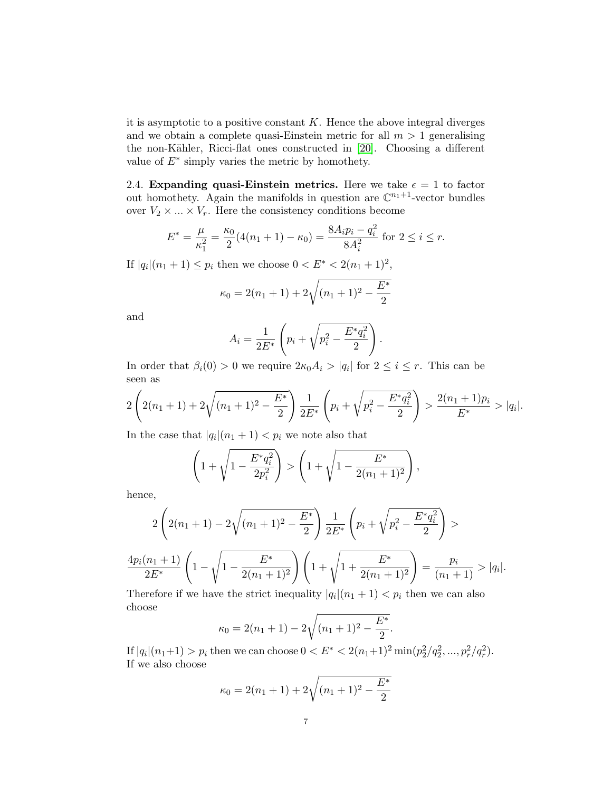it is asymptotic to a positive constant  $K$ . Hence the above integral diverges and we obtain a complete quasi-Einstein metric for all  $m > 1$  generalising the non-Kähler, Ricci-flat ones constructed in [\[20\]](#page-10-12). Choosing a different value of  $E^*$  simply varies the metric by homothety.

2.4. Expanding quasi-Einstein metrics. Here we take  $\epsilon = 1$  to factor out homothety. Again the manifolds in question are  $\mathbb{C}^{n_1+1}$ -vector bundles over  $V_2 \times \ldots \times V_r$ . Here the consistency conditions become

$$
E^* = \frac{\mu}{\kappa_1^2} = \frac{\kappa_0}{2} (4(n_1 + 1) - \kappa_0) = \frac{8A_i p_i - q_i^2}{8A_i^2} \text{ for } 2 \le i \le r.
$$

If  $|q_i|(n_1+1) \leq p_i$  then we choose  $0 < E^* < 2(n_1+1)^2$ ,

$$
\kappa_0 = 2(n_1 + 1) + 2\sqrt{(n_1 + 1)^2 - \frac{E^*}{2}}
$$

and

$$
A_i = \frac{1}{2E^*} \left( p_i + \sqrt{p_i^2 - \frac{E^* q_i^2}{2}} \right).
$$

In order that  $\beta_i(0) > 0$  we require  $2\kappa_0 A_i > |q_i|$  for  $2 \leq i \leq r$ . This can be seen as

$$
2\left(2(n_1+1)+2\sqrt{(n_1+1)^2-\frac{E^*}{2}}\right)\frac{1}{2E^*}\left(p_i+\sqrt{p_i^2-\frac{E^*q_i^2}{2}}\right)>\frac{2(n_1+1)p_i}{E^*}>|q_i|.
$$

In the case that  $|q_i|(n_1+1) < p_i$  we note also that

$$
\left(1+\sqrt{1-\frac{E^*q_i^2}{2p_i^2}}\right) > \left(1+\sqrt{1-\frac{E^*}{2(n_1+1)^2}}\right),
$$

hence,

$$
2\left(2(n_1+1)-2\sqrt{(n_1+1)^2-\frac{E^*}{2}}\right)\frac{1}{2E^*}\left(p_i+\sqrt{p_i^2-\frac{E^*q_i^2}{2}}\right) >
$$
  

$$
\frac{4p_i(n_1+1)}{2E^*}\left(1-\sqrt{1-\frac{E^*}{2(n_1+1)^2}}\right)\left(1+\sqrt{1+\frac{E^*}{2(n_1+1)^2}}\right)=\frac{p_i}{(n_1+1)}>|q_i|.
$$

Therefore if we have the strict inequality  $|q_i|(n_1+1) < p_i$  then we can also choose

$$
\kappa_0 = 2(n_1 + 1) - 2\sqrt{(n_1 + 1)^2 - \frac{E^*}{2}}
$$

If  $|q_i|(n_1+1) > p_i$  then we can choose  $0 < E^* < 2(n_1+1)^2 \min(p_2^2/q_2^2, ..., p_r^2/q_r^2)$ . If we also choose

.

$$
\kappa_0 = 2(n_1 + 1) + 2\sqrt{(n_1 + 1)^2 - \frac{E^*}{2}}
$$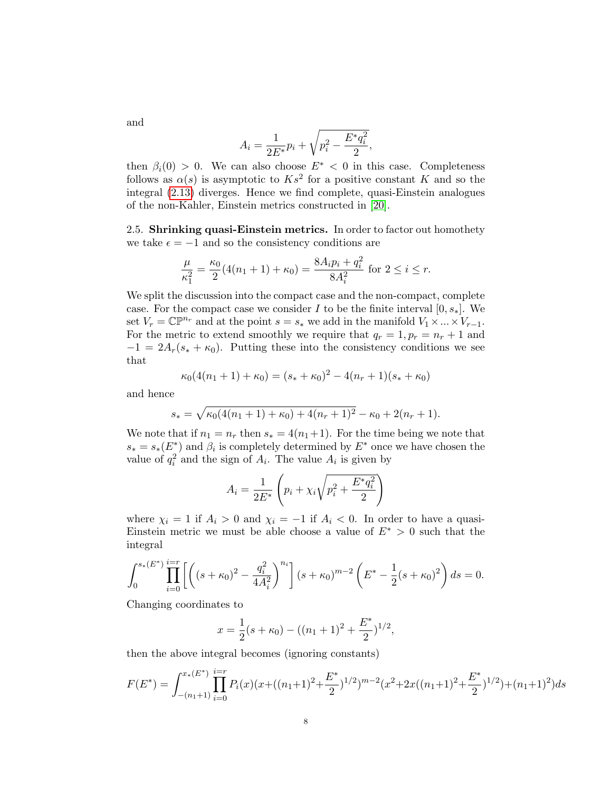$$
A_i = \frac{1}{2E^*}p_i + \sqrt{p_i^2 - \frac{E^*q_i^2}{2}},
$$

then  $\beta_i(0) > 0$ . We can also choose  $E^* < 0$  in this case. Completeness follows as  $\alpha(s)$  is asymptotic to  $Ks^2$  for a positive constant K and so the integral [\(2.13\)](#page-5-0) diverges. Hence we find complete, quasi-Einstein analogues of the non-Kahler, Einstein metrics constructed in [\[20\]](#page-10-12).

2.5. Shrinking quasi-Einstein metrics. In order to factor out homothety we take  $\epsilon = -1$  and so the consistency conditions are

$$
\frac{\mu}{\kappa_1^2} = \frac{\kappa_0}{2} (4(n_1 + 1) + \kappa_0) = \frac{8A_i p_i + q_i^2}{8A_i^2}
$$
 for  $2 \le i \le r$ .

We split the discussion into the compact case and the non-compact, complete case. For the compact case we consider I to be the finite interval  $[0, s_*]$ . We set  $V_r = \mathbb{C} \mathbb{P}^{n_r}$  and at the point  $s = s_*$  we add in the manifold  $V_1 \times ... \times V_{r-1}$ . For the metric to extend smoothly we require that  $q_r = 1, p_r = n_r + 1$  and  $-1 = 2A_r(s_* + \kappa_0)$ . Putting these into the consistency conditions we see that

$$
\kappa_0(4(n_1+1)+\kappa_0)=(s_*+\kappa_0)^2-4(n_r+1)(s_*+\kappa_0)
$$

and hence

$$
s_* = \sqrt{\kappa_0(4(n_1+1) + \kappa_0) + 4(n_r+1)^2} - \kappa_0 + 2(n_r+1).
$$

We note that if  $n_1 = n_r$  then  $s_* = 4(n_1+1)$ . For the time being we note that  $s_* = s_*(E^*)$  and  $\beta_i$  is completely determined by  $E^*$  once we have chosen the value of  $q_i^2$  and the sign of  $A_i$ . The value  $A_i$  is given by

$$
A_i = \frac{1}{2E^*} \left( p_i + \chi_i \sqrt{p_i^2 + \frac{E^* q_i^2}{2}} \right)
$$

where  $\chi_i = 1$  if  $A_i > 0$  and  $\chi_i = -1$  if  $A_i < 0$ . In order to have a quasi-Einstein metric we must be able choose a value of  $E^* > 0$  such that the integral

$$
\int_0^{s_*(E^*)} \prod_{i=0}^{i=r} \left[ \left( (s+\kappa_0)^2 - \frac{q_i^2}{4A_i^2} \right)^{n_i} \right] (s+\kappa_0)^{m-2} \left( E^* - \frac{1}{2} (s+\kappa_0)^2 \right) ds = 0.
$$

Changing coordinates to

$$
x = \frac{1}{2}(s + \kappa_0) - ((n_1 + 1)^2 + \frac{E^*}{2})^{1/2},
$$

then the above integral becomes (ignoring constants)

$$
F(E^*) = \int_{-(n_1+1)}^{x_*(E^*)} \prod_{i=0}^{i=r} P_i(x) (x + ((n_1+1)^2 + \frac{E^*}{2})^{1/2})^{m-2} (x^2 + 2x((n_1+1)^2 + \frac{E^*}{2})^{1/2}) + (n_1+1)^2) ds
$$

and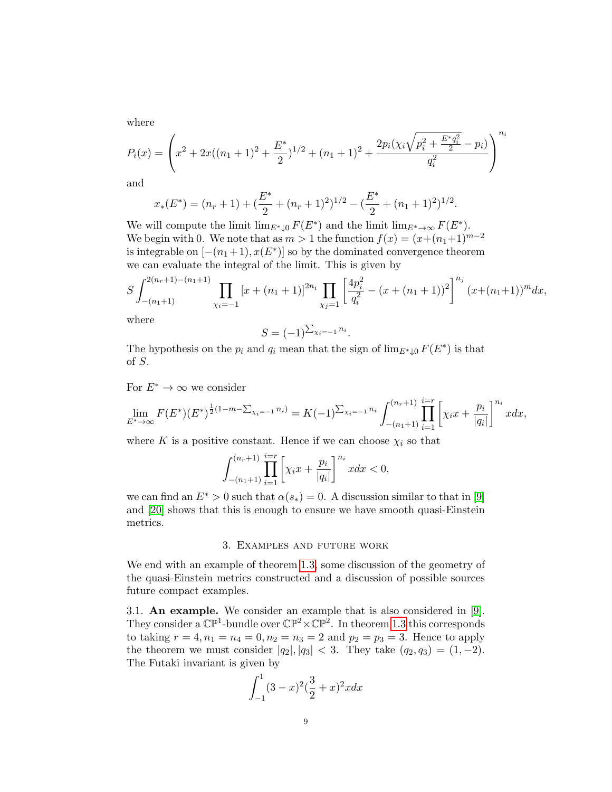where

$$
P_i(x) = \left(x^2 + 2x((n_1+1)^2 + \frac{E^*}{2})^{1/2} + (n_1+1)^2 + \frac{2p_i(\chi_i\sqrt{p_i^2 + \frac{E^*q_i^2}{2}} - p_i)}{q_i^2}\right)^{n_i}
$$

and

$$
x_*(E^*) = (n_r + 1) + \left(\frac{E^*}{2} + (n_r + 1)^2\right)^{1/2} - \left(\frac{E^*}{2} + (n_1 + 1)^2\right)^{1/2}
$$

We will compute the limit  $\lim_{E^*\downarrow 0} F(E^*)$  and the limit  $\lim_{E^*\to\infty} F(E^*)$ . We begin with 0. We note that as  $m > 1$  the function  $f(x) = (x+(n_1+1)^{m-2})$ is integrable on  $[-(n_1+1), x(E^*)]$  so by the dominated convergence theorem we can evaluate the integral of the limit. This is given by

$$
S \int_{-(n_1+1)}^{2(n_r+1)-(n_1+1)} \prod_{\chi_i=-1} \left[ x + (n_1+1) \right]^{2n_i} \prod_{\chi_j=1} \left[ \frac{4p_i^2}{q_i^2} - (x + (n_1+1))^2 \right]^{n_j} (x + (n_1+1))^m dx,
$$

.

where

$$
S=(-1)^{\sum_{\chi_i=-1}n_i}.
$$

The hypothesis on the  $p_i$  and  $q_i$  mean that the sign of  $\lim_{E^*\downarrow 0} F(E^*)$  is that of S.

For  $E^* \to \infty$  we consider

$$
\lim_{E^*\to\infty} F(E^*)(E^*)^{\frac{1}{2}(1-m-\sum_{\chi_i=-1}n_i)} = K(-1)^{\sum_{\chi_i=-1}n_i} \int_{-(n_1+1)}^{(n_r+1)} \prod_{i=1}^{i=r} \left[ \chi_i x + \frac{p_i}{|q_i|} \right]^{n_i} x dx,
$$

where K is a positive constant. Hence if we can choose  $\chi_i$  so that

$$
\int_{-(n_1+1)}^{(n_r+1)} \prod_{i=1}^{i=r} \left[ \chi_i x + \frac{p_i}{|q_i|} \right]^{n_i} x dx < 0,
$$

we can find an  $E^* > 0$  such that  $\alpha(s_*) = 0$ . A discussion similar to that in [\[9\]](#page-10-6) and [\[20\]](#page-10-12) shows that this is enough to ensure we have smooth quasi-Einstein metrics.

#### 3. Examples and future work

We end with an example of theorem [1.3,](#page-2-0) some discussion of the geometry of the quasi-Einstein metrics constructed and a discussion of possible sources future compact examples.

3.1. An example. We consider an example that is also considered in [\[9\]](#page-10-6). They consider a  $\mathbb{CP}^1$ -bundle over  $\mathbb{CP}^2 \times \mathbb{CP}^2$ . In theorem [1.3](#page-2-0) this corresponds to taking  $r = 4, n_1 = n_4 = 0, n_2 = n_3 = 2$  and  $p_2 = p_3 = 3$ . Hence to apply the theorem we must consider  $|q_2|, |q_3| < 3$ . They take  $(q_2, q_3) = (1, -2)$ . The Futaki invariant is given by

$$
\int_{-1}^{1} (3-x)^2 (\frac{3}{2}+x)^2 x dx
$$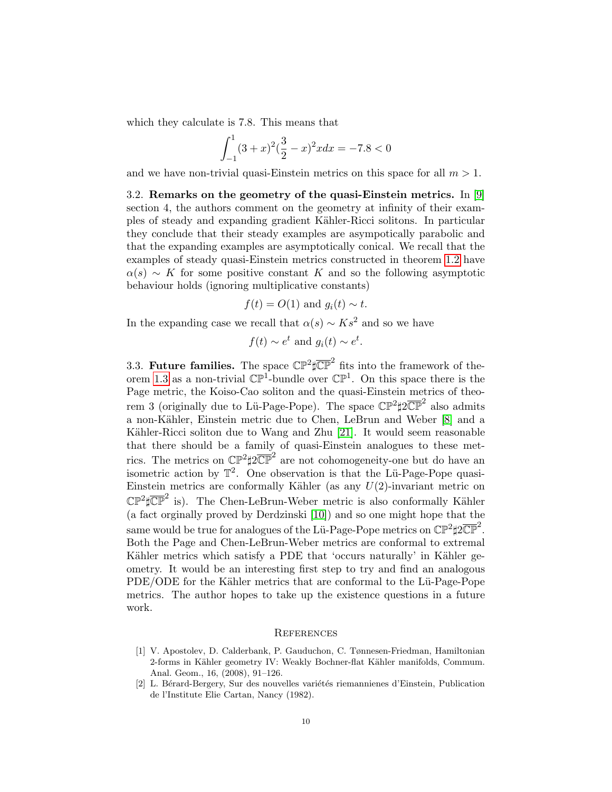which they calculate is 7.8. This means that

$$
\int_{-1}^{1} (3+x)^2(\frac{3}{2}-x)^2x \, dx = -7.8 < 0
$$

and we have non-trivial quasi-Einstein metrics on this space for all  $m > 1$ .

3.2. Remarks on the geometry of the quasi-Einstein metrics. In [\[9\]](#page-10-6) section 4, the authors comment on the geometry at infinity of their examples of steady and expanding gradient K¨ahler-Ricci solitons. In particular they conclude that their steady examples are asympotically parabolic and that the expanding examples are asymptotically conical. We recall that the examples of steady quasi-Einstein metrics constructed in theorem [1.2](#page-1-0) have  $\alpha(s) \sim K$  for some positive constant K and so the following asymptotic behaviour holds (ignoring multiplicative constants)

$$
f(t) = O(1)
$$
 and  $g_i(t) \sim t$ .

In the expanding case we recall that  $\alpha(s) \sim K s^2$  and so we have

$$
f(t) \sim e^t
$$
 and  $g_i(t) \sim e^t$ .

3.3. Future families. The space  $\mathbb{CP}^2 \sharp \overline{\mathbb{CP}}^2$  fits into the framework of the-orem [1.3](#page-2-0) as a non-trivial  $\mathbb{CP}^1$ -bundle over  $\mathbb{CP}^1$ . On this space there is the Page metric, the Koiso-Cao soliton and the quasi-Einstein metrics of theorem 3 (originally due to Lü-Page-Pope). The space  $\mathbb{CP}^2 \sharp 2 \overline{\mathbb{CP}}^2$  also admits a non-K¨ahler, Einstein metric due to Chen, LeBrun and Weber [\[8\]](#page-10-16) and a Kähler-Ricci soliton due to Wang and Zhu  $[21]$ . It would seem reasonable that there should be a family of quasi-Einstein analogues to these metrics. The metrics on  $\mathbb{CP}^2 \sharp 2 \overline{\mathbb{CP}}^2$  are not cohomogeneity-one but do have an isometric action by  $\mathbb{T}^2$ . One observation is that the Lü-Page-Pope quasi-Einstein metrics are conformally Kähler (as any  $U(2)$ -invariant metric on  $\mathbb{CP}^2 \sharp \overline{\mathbb{CP}}^2$  is). The Chen-LeBrun-Weber metric is also conformally Kähler (a fact orginally proved by Derdzinski [\[10\]](#page-10-18)) and so one might hope that the same would be true for analogues of the Lü-Page-Pope metrics on  $\mathbb{CP}^2 \sharp 2 \overline{\mathbb{CP}}^2$ . Both the Page and Chen-LeBrun-Weber metrics are conformal to extremal Kähler metrics which satisfy a PDE that 'occurs naturally' in Kähler geometry. It would be an interesting first step to try and find an analogous PDE/ODE for the Kähler metrics that are conformal to the Lü-Page-Pope metrics. The author hopes to take up the existence questions in a future work.

### **REFERENCES**

- <span id="page-9-0"></span>[1] V. Apostolev, D. Calderbank, P. Gauduchon, C. Tønnesen-Friedman, Hamiltonian 2-forms in Kähler geometry IV: Weakly Bochner-flat Kähler manifolds, Commum. Anal. Geom., 16, (2008), 91–126.
- <span id="page-9-1"></span>[2] L. Bérard-Bergery, Sur des nouvelles variétés riemannienes d'Einstein, Publication de l'Institute Elie Cartan, Nancy (1982).